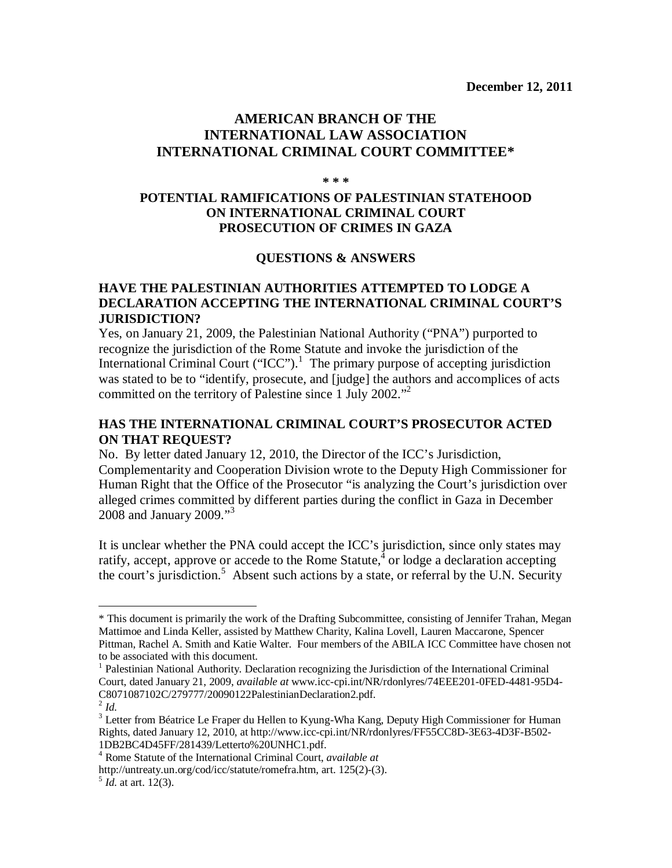# **AMERICAN BRANCH OF THE INTERNATIONAL LAW ASSOCIATION INTERNATIONAL CRIMINAL COURT COMMITTEE\***

#### **\* \* \***

# **POTENTIAL RAMIFICATIONS OF PALESTINIAN STATEHOOD ON INTERNATIONAL CRIMINAL COURT PROSECUTION OF CRIMES IN GAZA**

#### **QUESTIONS & ANSWERS**

#### **HAVE THE PALESTINIAN AUTHORITIES ATTEMPTED TO LODGE A DECLARATION ACCEPTING THE INTERNATIONAL CRIMINAL COURT'S JURISDICTION?**

Yes, on January 21, 2009, the Palestinian National Authority ("PNA") purported to recognize the jurisdiction of the Rome Statute and invoke the jurisdiction of the International Criminal Court ("ICC").<sup>1</sup> The primary purpose of accepting jurisdiction was stated to be to "identify, prosecute, and [judge] the authors and accomplices of acts committed on the territory of Palestine since  $1$  July 2002."<sup>2</sup>

# **HAS THE INTERNATIONAL CRIMINAL COURT'S PROSECUTOR ACTED ON THAT REQUEST?**

No. By letter dated January 12, 2010, the Director of the ICC's Jurisdiction, Complementarity and Cooperation Division wrote to the Deputy High Commissioner for Human Right that the Office of the Prosecutor "is analyzing the Court's jurisdiction over alleged crimes committed by different parties during the conflict in Gaza in December 2008 and January 2009."<sup>3</sup>

It is unclear whether the PNA could accept the ICC's jurisdiction, since only states may ratify, accept, approve or accede to the Rome Statute, $\frac{3}{4}$  or lodge a declaration accepting the court's jurisdiction.<sup>5</sup> Absent such actions by a state, or referral by the U.N. Security

 $\overline{a}$ 

<sup>\*</sup> This document is primarily the work of the Drafting Subcommittee, consisting of Jennifer Trahan, Megan Mattimoe and Linda Keller, assisted by Matthew Charity, Kalina Lovell, Lauren Maccarone, Spencer Pittman, Rachel A. Smith and Katie Walter. Four members of the ABILA ICC Committee have chosen not to be associated with this document.

<sup>&</sup>lt;sup>1</sup> Palestinian National Authority. Declaration recognizing the Jurisdiction of the International Criminal Court, dated January 21, 2009, *available at* www.icc-cpi.int/NR/rdonlyres/74EEE201-0FED-4481-95D4- C8071087102C/279777/20090122PalestinianDeclaration2.pdf.

<sup>2</sup> *Id.* 

<sup>&</sup>lt;sup>3</sup> Letter from Béatrice Le Fraper du Hellen to Kyung-Wha Kang, Deputy High Commissioner for Human Rights, dated January 12, 2010, at http://www.icc-cpi.int/NR/rdonlyres/FF55CC8D-3E63-4D3F-B502- 1DB2BC4D45FF/281439/Letterto%20UNHC1.pdf.

<sup>4</sup> Rome Statute of the International Criminal Court, *available at* 

http://untreaty.un.org/cod/icc/statute/romefra.htm, art. 125(2)-(3). 5 *Id.* at art. 12(3).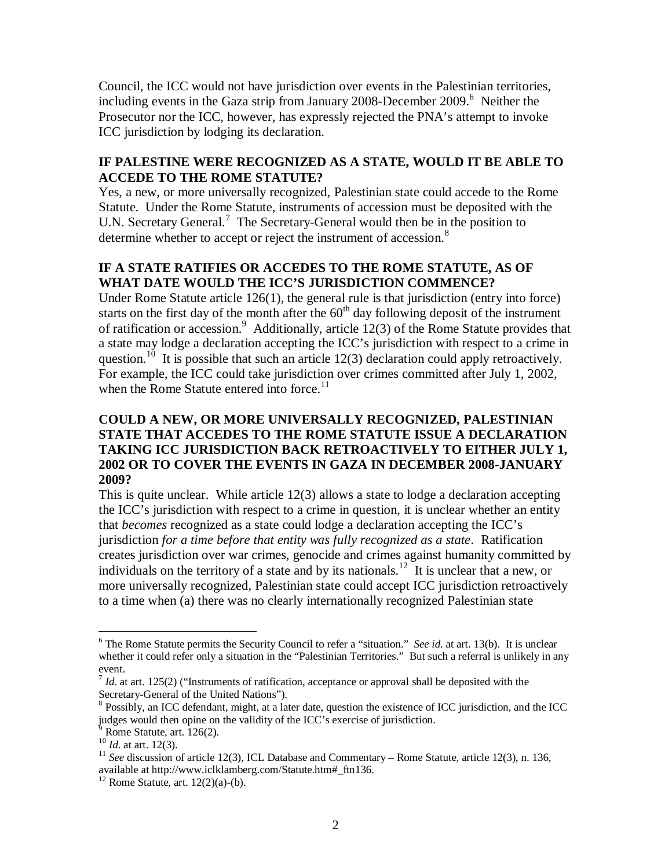Council, the ICC would not have jurisdiction over events in the Palestinian territories, including events in the Gaza strip from January 2008-December 2009. <sup>6</sup> Neither the Prosecutor nor the ICC, however, has expressly rejected the PNA's attempt to invoke ICC jurisdiction by lodging its declaration.

## **IF PALESTINE WERE RECOGNIZED AS A STATE, WOULD IT BE ABLE TO ACCEDE TO THE ROME STATUTE?**

Yes, a new, or more universally recognized, Palestinian state could accede to the Rome Statute. Under the Rome Statute, instruments of accession must be deposited with the U.N. Secretary General.<sup>7</sup> The Secretary-General would then be in the position to determine whether to accept or reject the instrument of accession.<sup>8</sup>

# **IF A STATE RATIFIES OR ACCEDES TO THE ROME STATUTE, AS OF WHAT DATE WOULD THE ICC'S JURISDICTION COMMENCE?**

Under Rome Statute article 126(1), the general rule is that jurisdiction (entry into force) starts on the first day of the month after the  $60<sup>th</sup>$  day following deposit of the instrument of ratification or accession.<sup>9</sup> Additionally, article 12(3) of the Rome Statute provides that a state may lodge a declaration accepting the ICC's jurisdiction with respect to a crime in question.<sup>10</sup> It is possible that such an article 12(3) declaration could apply retroactively. For example, the ICC could take jurisdiction over crimes committed after July 1, 2002, when the Rome Statute entered into force.<sup>11</sup>

### **COULD A NEW, OR MORE UNIVERSALLY RECOGNIZED, PALESTINIAN STATE THAT ACCEDES TO THE ROME STATUTE ISSUE A DECLARATION TAKING ICC JURISDICTION BACK RETROACTIVELY TO EITHER JULY 1, 2002 OR TO COVER THE EVENTS IN GAZA IN DECEMBER 2008-JANUARY 2009?**

This is quite unclear. While article 12(3) allows a state to lodge a declaration accepting the ICC's jurisdiction with respect to a crime in question, it is unclear whether an entity that *becomes* recognized as a state could lodge a declaration accepting the ICC's jurisdiction *for a time before that entity was fully recognized as a state*. Ratification creates jurisdiction over war crimes, genocide and crimes against humanity committed by individuals on the territory of a state and by its nationals.<sup>12</sup> It is unclear that a new, or more universally recognized, Palestinian state could accept ICC jurisdiction retroactively to a time when (a) there was no clearly internationally recognized Palestinian state

 $\overline{a}$ 

<sup>6</sup> The Rome Statute permits the Security Council to refer a "situation." *See id.* at art. 13(b). It is unclear whether it could refer only a situation in the "Palestinian Territories." But such a referral is unlikely in any event.

<sup>7</sup> *Id.* at art. 125(2) ("Instruments of ratification, acceptance or approval shall be deposited with the Secretary-General of the United Nations").

<sup>&</sup>lt;sup>8</sup> Possibly, an ICC defendant, might, at a later date, question the existence of ICC jurisdiction, and the ICC judges would then opine on the validity of the ICC's exercise of jurisdiction.

Rome Statute, art. 126(2).

<sup>10</sup> *Id.* at art. 12(3).

<sup>11</sup> *See* discussion of article 12(3), ICL Database and Commentary – Rome Statute, article 12(3), n. 136*,*  available at http://www.iclklamberg.com/Statute.htm#\_ftn136.

 $12$  Rome Statute, art.  $12(2)(a)-(b)$ .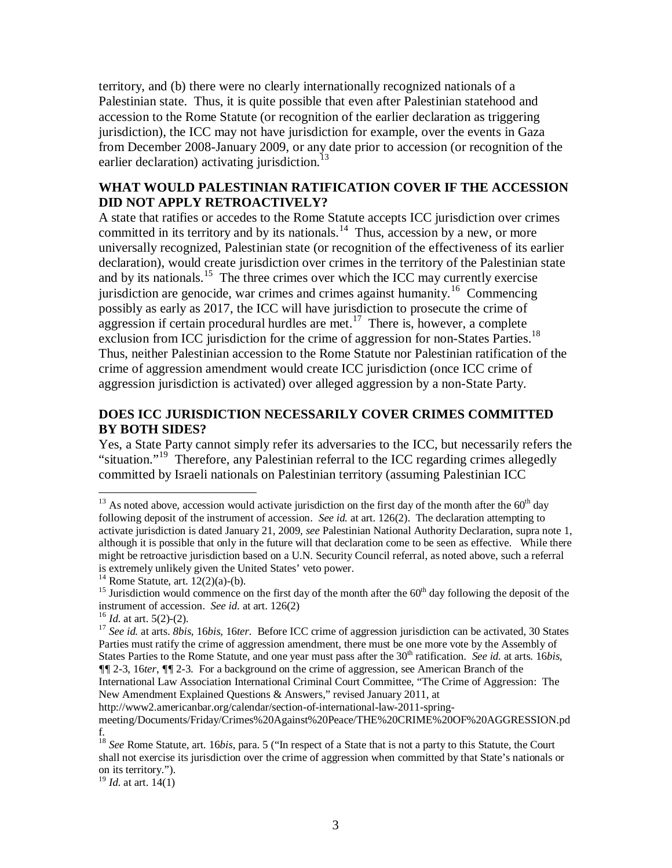territory, and (b) there were no clearly internationally recognized nationals of a Palestinian state. Thus, it is quite possible that even after Palestinian statehood and accession to the Rome Statute (or recognition of the earlier declaration as triggering jurisdiction), the ICC may not have jurisdiction for example, over the events in Gaza from December 2008-January 2009, or any date prior to accession (or recognition of the earlier declaration) activating jurisdiction. $^{13}$ 

## **WHAT WOULD PALESTINIAN RATIFICATION COVER IF THE ACCESSION DID NOT APPLY RETROACTIVELY?**

A state that ratifies or accedes to the Rome Statute accepts ICC jurisdiction over crimes committed in its territory and by its nationals.<sup>14</sup> Thus, accession by a new, or more universally recognized, Palestinian state (or recognition of the effectiveness of its earlier declaration), would create jurisdiction over crimes in the territory of the Palestinian state and by its nationals.<sup>15</sup> The three crimes over which the ICC may currently exercise jurisdiction are genocide, war crimes and crimes against humanity.<sup>16</sup> Commencing possibly as early as 2017, the ICC will have jurisdiction to prosecute the crime of aggression if certain procedural hurdles are met.<sup>17</sup> There is, however, a complete exclusion from ICC jurisdiction for the crime of aggression for non-States Parties.<sup>18</sup> Thus, neither Palestinian accession to the Rome Statute nor Palestinian ratification of the crime of aggression amendment would create ICC jurisdiction (once ICC crime of aggression jurisdiction is activated) over alleged aggression by a non-State Party.

# **DOES ICC JURISDICTION NECESSARILY COVER CRIMES COMMITTED BY BOTH SIDES?**

Yes, a State Party cannot simply refer its adversaries to the ICC, but necessarily refers the "situation."<sup>19</sup> Therefore, any Palestinian referral to the ICC regarding crimes allegedly committed by Israeli nationals on Palestinian territory (assuming Palestinian ICC

 $\overline{a}$ 

New Amendment Explained Questions & Answers," revised January 2011, at

<sup>19</sup> *Id.* at art. 14(1)

 $13$  As noted above, accession would activate jurisdiction on the first day of the month after the  $60<sup>th</sup>$  day following deposit of the instrument of accession. *See id.* at art. 126(2). The declaration attempting to activate jurisdiction is dated January 21, 2009, *see* Palestinian National Authority Declaration, supra note 1, although it is possible that only in the future will that declaration come to be seen as effective. While there might be retroactive jurisdiction based on a U.N. Security Council referral, as noted above, such a referral is extremely unlikely given the United States' veto power.

 $14$  Rome Statute, art.  $12(2)(a)-(b)$ .

<sup>&</sup>lt;sup>15</sup> Jurisdiction would commence on the first day of the month after the  $60<sup>th</sup>$  day following the deposit of the instrument of accession. *See id.* at art. 126(2)

<sup>16</sup> *Id.* at art. 5(2)-(2).

<sup>17</sup> *See id.* at arts. *8bis,* 16*bis,* 16*ter.* Before ICC crime of aggression jurisdiction can be activated, 30 States Parties must ratify the crime of aggression amendment, there must be one more vote by the Assembly of States Parties to the Rome Statute, and one year must pass after the 30<sup>th</sup> ratification. *See id.* at arts. 16*bis, ¶¶* 2-3, 16*ter*,  $\sqrt{=}$  2-3. For a background on the crime of aggression, see American Branch of the International Law Association International Criminal Court Committee, "The Crime of Aggression: The

http://www2.americanbar.org/calendar/section-of-international-law-2011-springmeeting/Documents/Friday/Crimes%20Against%20Peace/THE%20CRIME%20OF%20AGGRESSION.pd f.

<sup>18</sup> *See* Rome Statute, art. 16*bis*, para. 5 ("In respect of a State that is not a party to this Statute, the Court shall not exercise its jurisdiction over the crime of aggression when committed by that State's nationals or on its territory.").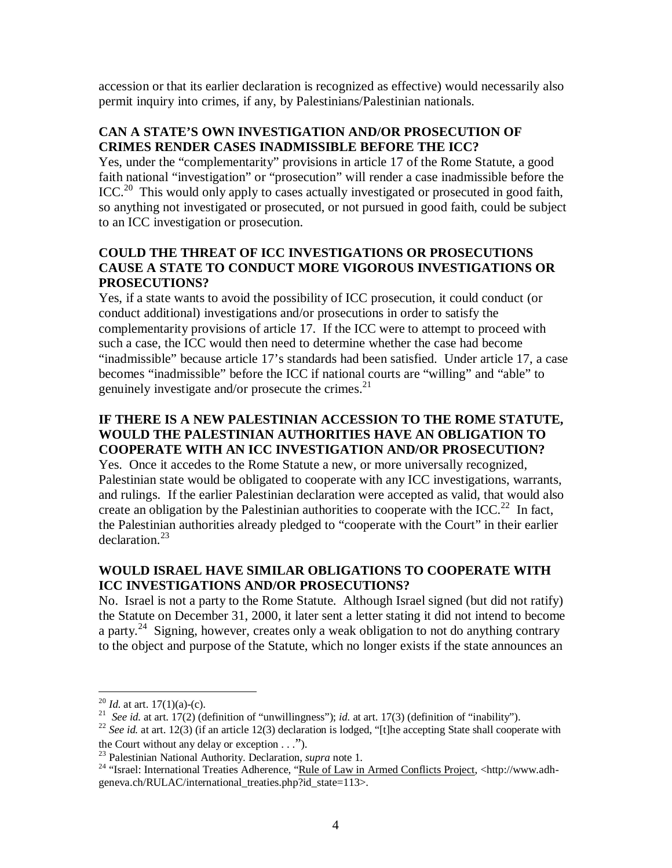accession or that its earlier declaration is recognized as effective) would necessarily also permit inquiry into crimes, if any, by Palestinians/Palestinian nationals.

# **CAN A STATE'S OWN INVESTIGATION AND/OR PROSECUTION OF CRIMES RENDER CASES INADMISSIBLE BEFORE THE ICC?**

Yes, under the "complementarity" provisions in article 17 of the Rome Statute, a good faith national "investigation" or "prosecution" will render a case inadmissible before the  $ICC<sup>20</sup>$  This would only apply to cases actually investigated or prosecuted in good faith, so anything not investigated or prosecuted, or not pursued in good faith, could be subject to an ICC investigation or prosecution.

# **COULD THE THREAT OF ICC INVESTIGATIONS OR PROSECUTIONS CAUSE A STATE TO CONDUCT MORE VIGOROUS INVESTIGATIONS OR PROSECUTIONS?**

Yes, if a state wants to avoid the possibility of ICC prosecution, it could conduct (or conduct additional) investigations and/or prosecutions in order to satisfy the complementarity provisions of article 17. If the ICC were to attempt to proceed with such a case, the ICC would then need to determine whether the case had become "inadmissible" because article 17's standards had been satisfied. Under article 17, a case becomes "inadmissible" before the ICC if national courts are "willing" and "able" to genuinely investigate and/or prosecute the crimes.<sup>21</sup>

# **IF THERE IS A NEW PALESTINIAN ACCESSION TO THE ROME STATUTE, WOULD THE PALESTINIAN AUTHORITIES HAVE AN OBLIGATION TO COOPERATE WITH AN ICC INVESTIGATION AND/OR PROSECUTION?**

Yes. Once it accedes to the Rome Statute a new, or more universally recognized, Palestinian state would be obligated to cooperate with any ICC investigations, warrants, and rulings. If the earlier Palestinian declaration were accepted as valid, that would also create an obligation by the Palestinian authorities to cooperate with the ICC.<sup>22</sup> In fact, the Palestinian authorities already pledged to "cooperate with the Court" in their earlier declaration<sup>23</sup>

# **WOULD ISRAEL HAVE SIMILAR OBLIGATIONS TO COOPERATE WITH ICC INVESTIGATIONS AND/OR PROSECUTIONS?**

No. Israel is not a party to the Rome Statute. Although Israel signed (but did not ratify) the Statute on December 31, 2000, it later sent a letter stating it did not intend to become a party.<sup>24</sup> Signing, however, creates only a weak obligation to not do anything contrary to the object and purpose of the Statute, which no longer exists if the state announces an

 $\overline{a}$  $^{20}$  *Id.* at art. 17(1)(a)-(c).

<sup>21</sup> *See id.* at art. 17(2) (definition of "unwillingness"); *id.* at art. 17(3) (definition of "inability").

<sup>&</sup>lt;sup>22</sup> See id. at art. 12(3) (if an article 12(3) declaration is lodged, "[t]he accepting State shall cooperate with the Court without any delay or exception  $\dots$ ").

<sup>23</sup> Palestinian National Authority. Declaration, *supra* note 1.

<sup>&</sup>lt;sup>24</sup> "Israel: International Treaties Adherence, "Rule of Law in Armed Conflicts Project, <http://www.adhgeneva.ch/RULAC/international\_treaties.php?id\_state=113>.